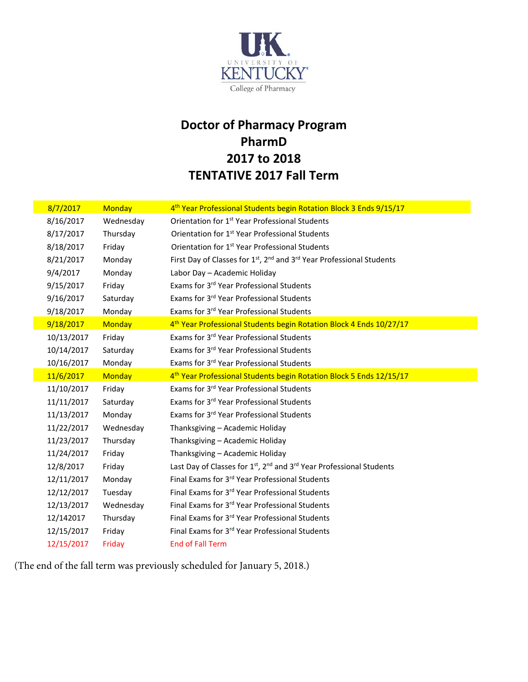

## **Doctor of Pharmacy Program PharmD 2017 to 2018 TENTATIVE 2017 Fall Term**

| 8/7/2017   | <b>Monday</b> | 4 <sup>th</sup> Year Professional Students begin Rotation Block 3 Ends 9/15/17                            |
|------------|---------------|-----------------------------------------------------------------------------------------------------------|
| 8/16/2017  | Wednesday     | Orientation for 1 <sup>st</sup> Year Professional Students                                                |
| 8/17/2017  | Thursday      | Orientation for 1 <sup>st</sup> Year Professional Students                                                |
| 8/18/2017  | Friday        | Orientation for 1 <sup>st</sup> Year Professional Students                                                |
| 8/21/2017  | Monday        | First Day of Classes for 1 <sup>st</sup> , 2 <sup>nd</sup> and 3 <sup>rd</sup> Year Professional Students |
| 9/4/2017   | Monday        | Labor Day - Academic Holiday                                                                              |
| 9/15/2017  | Friday        | Exams for 3 <sup>rd</sup> Year Professional Students                                                      |
| 9/16/2017  | Saturday      | Exams for 3rd Year Professional Students                                                                  |
| 9/18/2017  | Monday        | Exams for 3rd Year Professional Students                                                                  |
| 9/18/2017  | <b>Monday</b> | 4 <sup>th</sup> Year Professional Students begin Rotation Block 4 Ends 10/27/17                           |
| 10/13/2017 | Friday        | Exams for 3rd Year Professional Students                                                                  |
| 10/14/2017 | Saturday      | Exams for 3rd Year Professional Students                                                                  |
| 10/16/2017 | Monday        | Exams for 3rd Year Professional Students                                                                  |
| 11/6/2017  | <b>Monday</b> | 4 <sup>th</sup> Year Professional Students begin Rotation Block 5 Ends 12/15/17                           |
| 11/10/2017 | Friday        | Exams for 3rd Year Professional Students                                                                  |
| 11/11/2017 | Saturday      | Exams for 3rd Year Professional Students                                                                  |
| 11/13/2017 | Monday        | Exams for 3rd Year Professional Students                                                                  |
| 11/22/2017 | Wednesday     | Thanksgiving - Academic Holiday                                                                           |
| 11/23/2017 | Thursday      | Thanksgiving - Academic Holiday                                                                           |
| 11/24/2017 | Friday        | Thanksgiving - Academic Holiday                                                                           |
| 12/8/2017  | Friday        | Last Day of Classes for 1 <sup>st</sup> , 2 <sup>nd</sup> and 3 <sup>rd</sup> Year Professional Students  |
| 12/11/2017 | Monday        | Final Exams for 3rd Year Professional Students                                                            |
| 12/12/2017 | Tuesday       | Final Exams for 3rd Year Professional Students                                                            |
|            |               |                                                                                                           |
| 12/13/2017 | Wednesday     | Final Exams for 3rd Year Professional Students                                                            |
| 12/142017  | Thursday      | Final Exams for 3rd Year Professional Students                                                            |
| 12/15/2017 | Friday        | Final Exams for 3rd Year Professional Students                                                            |

(The end of the fall term was previously scheduled for January 5, 2018.)